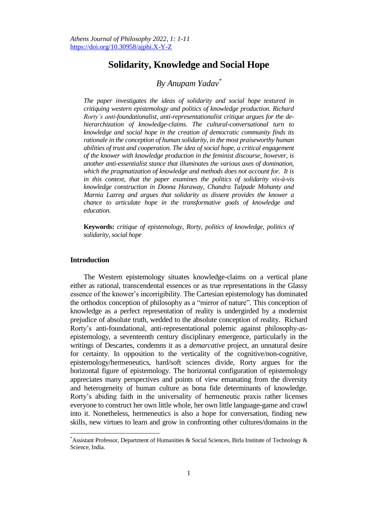# **Solidarity, Knowledge and Social Hope**

## *By Anupam Yadav\**

*The paper investigates the ideas of solidarity and social hope textured in critiquing western epistemology and politics of knowledge production. Richard Rorty's anti-foundationalist, anti-representationalist critique argues for the dehierarchization of knowledge-claims. The cultural-conversational turn to knowledge and social hope in the creation of democratic community finds its rationale in the conception of human solidarity, in the most praiseworthy human abilities of trust and cooperation. The idea of social hope, a critical engagement of the knower with knowledge production in the feminist discourse, however, is another anti-essentialist stance that illuminates the various axes of domination, which the pragmatization of knowledge and methods does not account for. It is in this context, that the paper examines the politics of solidarity vis-à-vis knowledge construction in Donna Haraway, Chandra Talpade Mohanty and Marnia Lazreg and argues that solidarity as dissent provides the knower a chance to articulate hope in the transformative goals of knowledge and education.*

**Keywords:** *critique of epistemology, Rorty, politics of knowledge, politics of solidarity, social hope* 

### **Introduction**

 $\overline{\phantom{a}}$ 

The Western epistemology situates knowledge-claims on a vertical plane either as rational, transcendental essences or as true representations in the Glassy essence of the knower's incorrigibility. The Cartesian epistemology has dominated the orthodox conception of philosophy as a "mirror of nature". This conception of knowledge as a perfect representation of reality is undergirded by a modernist prejudice of absolute truth, wedded to the absolute conception of reality. Richard Rorty's anti-foundational, anti-representational polemic against philosophy-asepistemology, a seventeenth century disciplinary emergence, particularly in the writings of Descartes, condemns it as a *demarcative* project, an unnatural desire for certainty. In opposition to the verticality of the cognitive/non-cognitive, epistemology/hermeneutics, hard/soft sciences divide, Rorty argues for the horizontal figure of epistemology. The horizontal configuration of epistemology appreciates many perspectives and points of view emanating from the diversity and heterogeneity of human culture as bona fide determinants of knowledge. Rorty's abiding faith in the universality of hermeneutic praxis rather licenses everyone to construct her own little whole, her own little language-game and crawl into it. Nonetheless, hermeneutics is also a hope for conversation, finding new skills, new virtues to learn and grow in confronting other cultures/domains in the

<sup>\*</sup>Assistant Professor, Department of Humanities & Social Sciences, Birla Institute of Technology & Science, India.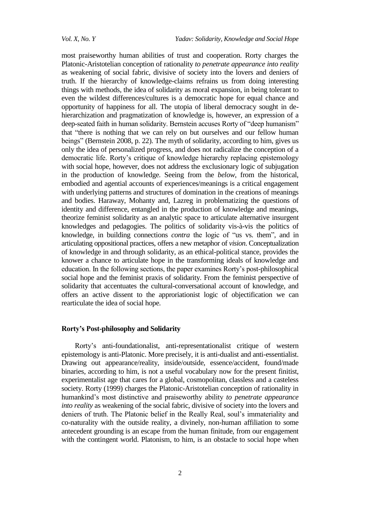most praiseworthy human abilities of trust and cooperation. Rorty charges the Platonic-Aristotelian conception of rationality *to penetrate appearance into reality*  as weakening of social fabric, divisive of society into the lovers and deniers of truth. If the hierarchy of knowledge-claims refrains us from doing interesting things with methods, the idea of solidarity as moral expansion, in being tolerant to even the wildest differences/cultures is a democratic hope for equal chance and opportunity of happiness for all. The utopia of liberal democracy sought in dehierarchization and pragmatization of knowledge is, however, an expression of a deep-seated faith in human solidarity. Bernstein accuses Rorty of "deep humanism" that "there is nothing that we can rely on but ourselves and our fellow human beings" (Bernstein 2008, p. 22). The myth of solidarity, according to him, gives us only the idea of personalized progress, and does not radicalize the conception of a democratic life. Rorty's critique of knowledge hierarchy replacing epistemology with social hope, however, does not address the exclusionary logic of subjugation in the production of knowledge. Seeing from the *below*, from the historical, embodied and agential accounts of experiences/meanings is a critical engagement with underlying patterns and structures of domination in the creations of meanings and bodies. Haraway, Mohanty and, Lazreg in problematizing the questions of identity and difference, entangled in the production of knowledge and meanings, theorize feminist solidarity as an analytic space to articulate alternative insurgent knowledges and pedagogies. The politics of solidarity vis-à-vis the politics of knowledge, in building connections *contra* the logic of "us vs. them", and in articulating oppositional practices, offers a new metaphor of *vision*. Conceptualization of knowledge in and through solidarity, as an ethical-political stance, provides the knower a chance to articulate hope in the transforming ideals of knowledge and education. In the following sections, the paper examines Rorty's post-philosophical social hope and the feminist praxis of solidarity. From the feminist perspective of solidarity that accentuates the cultural-conversational account of knowledge, and offers an active dissent to the approriationist logic of objectification we can rearticulate the idea of social hope.

## **Rorty's Post-philosophy and Solidarity**

Rorty's anti-foundationalist, anti-representationalist critique of western epistemology is anti-Platonic. More precisely, it is anti-dualist and anti-essentialist. Drawing out appearance/reality, inside/outside, essence/accident, found/made binaries, according to him, is not a useful vocabulary now for the present finitist, experimentalist age that cares for a global, cosmopolitan, classless and a casteless society. Rorty (1999) charges the Platonic-Aristotelian conception of rationality in humankind's most distinctive and praiseworthy ability *to penetrate appearance into reality* as weakening of the social fabric, divisive of society into the lovers and deniers of truth. The Platonic belief in the Really Real, soul's immateriality and co-naturality with the outside reality, a divinely, non-human affiliation to some antecedent grounding is an escape from the human finitude, from our engagement with the contingent world. Platonism, to him, is an obstacle to social hope when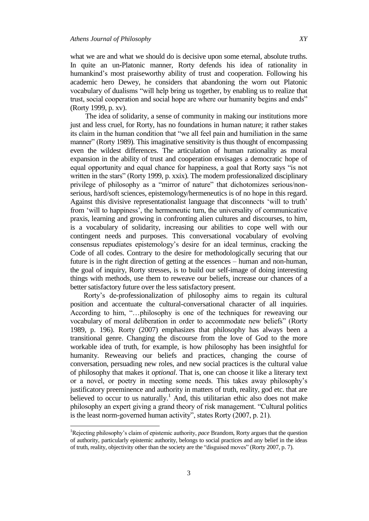$\overline{a}$ 

what we are and what we should do is decisive upon some eternal, absolute truths. In quite an un-Platonic manner, Rorty defends his idea of rationality in humankind's most praiseworthy ability of trust and cooperation. Following his academic hero Dewey, he considers that abandoning the worn out Platonic vocabulary of dualisms "will help bring us together, by enabling us to realize that trust, social cooperation and social hope are where our humanity begins and ends" (Rorty 1999, p. xv).

The idea of solidarity, a sense of community in making our institutions more just and less cruel, for Rorty, has no foundations in human nature; it rather stakes its claim in the human condition that "we all feel pain and humiliation in the same manner" (Rorty 1989). This imaginative sensitivity is thus thought of encompassing even the wildest differences. The articulation of human rationality as moral expansion in the ability of trust and cooperation envisages a democratic hope of equal opportunity and equal chance for happiness, a goal that Rorty says "is not written in the stars" (Rorty 1999, p. xxix). The modern professionalized disciplinary privilege of philosophy as a "mirror of nature" that dichotomizes serious/nonserious, hard/soft sciences, epistemology/hermeneutics is of no hope in this regard. Against this divisive representationalist language that disconnects 'will to truth' from 'will to happiness', the hermeneutic turn, the universality of communicative praxis, learning and growing in confronting alien cultures and discourses, to him, is a vocabulary of solidarity, increasing our abilities to cope well with our contingent needs and purposes. This conversational vocabulary of evolving consensus repudiates epistemology's desire for an ideal terminus, cracking the Code of all codes. Contrary to the desire for methodologically securing that our future is in the right direction of getting at the essences – human and non-human, the goal of inquiry, Rorty stresses, is to build our self-image of doing interesting things with methods, use them to reweave our beliefs, increase our chances of a better satisfactory future over the less satisfactory present.

Rorty's de-professionalization of philosophy aims to regain its cultural position and accentuate the cultural-conversational character of all inquiries. According to him, "...philosophy is one of the techniques for reweaving our vocabulary of moral deliberation in order to accommodate new beliefs" (Rorty 1989, p. 196). Rorty (2007) emphasizes that philosophy has always been a transitional genre. Changing the discourse from the love of God to the more workable idea of truth, for example, is how philosophy has been insightful for humanity. Reweaving our beliefs and practices, changing the course of conversation, persuading new roles, and new social practices is the cultural value of philosophy that makes it *optional*. That is, one can choose it like a literary text or a novel, or poetry in meeting some needs. This takes away philosophy's justificatory preeminence and authority in matters of truth, reality, god etc. that are believed to occur to us naturally.<sup>1</sup> And, this utilitarian ethic also does not make philosophy an expert giving a grand theory of risk management. "Cultural politics is the least norm-governed human activity", states Rorty (2007, p. 21).

<sup>1</sup>Rejecting philosophy's claim of epistemic authority, *pace* Brandom, Rorty argues that the question of authority, particularly epistemic authority, belongs to social practices and any belief in the ideas of truth, reality, objectivity other than the society are the "disguised moves" (Rorty 2007, p. 7).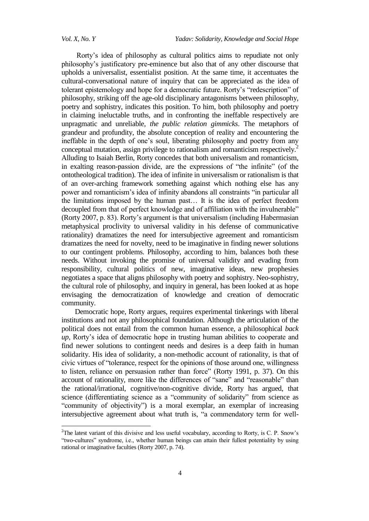$\ddot{\phantom{a}}$ 

Rorty's idea of philosophy as cultural politics aims to repudiate not only philosophy's justificatory pre-eminence but also that of any other discourse that upholds a universalist, essentialist position. At the same time, it accentuates the cultural-conversational nature of inquiry that can be appreciated as the idea of tolerant epistemology and hope for a democratic future. Rorty's "redescription" of philosophy, striking off the age-old disciplinary antagonisms between philosophy, poetry and sophistry, indicates this position. To him, both philosophy and poetry in claiming ineluctable truths, and in confronting the ineffable respectively are unpragmatic and unreliable, *the public relation gimmicks*. The metaphors of grandeur and profundity, the absolute conception of reality and encountering the ineffable in the depth of one's soul, liberating philosophy and poetry from any conceptual mutation, assign privilege to rationalism and romanticism respectively.<sup>2</sup> Alluding to Isaiah Berlin, Rorty concedes that both universalism and romanticism, in exalting reason-passion divide, are the expressions of "the infinite" (of the ontotheological tradition). The idea of infinite in universalism or rationalism is that of an over-arching framework something against which nothing else has any power and romanticism's idea of infinity abandons all constraints "in particular all the limitations imposed by the human past… It is the idea of perfect freedom decoupled from that of perfect knowledge and of affiliation with the invulnerable" (Rorty 2007, p. 83). Rorty's argument is that universalism (including Habermasian metaphysical proclivity to universal validity in his defense of communicative rationality) dramatizes the need for intersubjective agreement and romanticism dramatizes the need for novelty, need to be imaginative in finding newer solutions to our contingent problems. Philosophy, according to him, balances both these needs. Without invoking the promise of universal validity and evading from responsibility, cultural politics of new, imaginative ideas, new prophesies negotiates a space that aligns philosophy with poetry and sophistry. Neo-sophistry, the cultural role of philosophy, and inquiry in general, has been looked at as hope envisaging the democratization of knowledge and creation of democratic community.

Democratic hope, Rorty argues, requires experimental tinkerings with liberal institutions and not any philosophical foundation. Although the articulation of the political does not entail from the common human essence, a philosophical *back up*, Rorty's idea of democratic hope in trusting human abilities to cooperate and find newer solutions to contingent needs and desires is a deep faith in human solidarity. His idea of solidarity, a non-methodic account of rationality, is that of civic virtues of "tolerance, respect for the opinions of those around one, willingness to listen, reliance on persuasion rather than force" (Rorty 1991, p. 37). On this account of rationality, more like the differences of "sane" and "reasonable" than the rational/irrational, cognitive/non-cognitive divide, Rorty has argued, that science (differentiating science as a "community of solidarity" from science as "community of objectivity") is a moral exemplar, an exemplar of increasing intersubjective agreement about what truth is, "a commendatory term for well-

<sup>&</sup>lt;sup>2</sup>The latest variant of this divisive and less useful vocabulary, according to Rorty, is C. P. Snow's ―two-cultures‖ syndrome, i.e., whether human beings can attain their fullest potentiality by using rational or imaginative faculties (Rorty 2007, p. 74).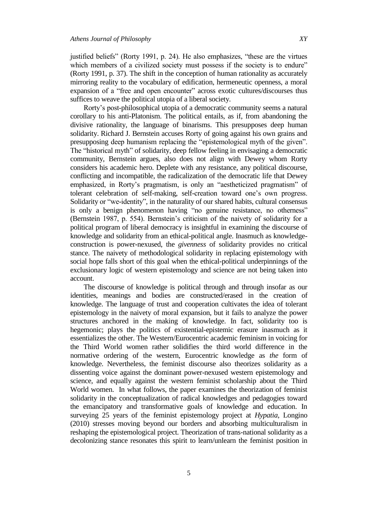justified beliefs" (Rorty 1991, p. 24). He also emphasizes, "these are the virtues which members of a civilized society must possess if the society is to endure" (Rorty 1991, p. 37). The shift in the conception of human rationality as accurately mirroring reality to the vocabulary of edification, hermeneutic openness, a moral expansion of a "free and open encounter" across exotic cultures/discourses thus suffices to weave the political utopia of a liberal society.

Rorty's post-philosophical utopia of a democratic community seems a natural corollary to his anti-Platonism. The political entails, as if, from abandoning the divisive rationality, the language of binarisms. This presupposes deep human solidarity. Richard J. Bernstein accuses Rorty of going against his own grains and presupposing deep humanism replacing the "epistemological myth of the given". The "historical myth" of solidarity, deep fellow feeling in envisaging a democratic community, Bernstein argues, also does not align with Dewey whom Rorty considers his academic hero. Deplete with any resistance, any political discourse, conflicting and incompatible, the radicalization of the democratic life that Dewey emphasized, in Rorty's pragmatism, is only an "aestheticized pragmatism" of tolerant celebration of self-making, self-creation toward one's own progress. Solidarity or "we-identity", in the naturality of our shared habits, cultural consensus is only a benign phenomenon having "no genuine resistance, no otherness" (Bernstein 1987, p. 554). Bernstein's criticism of the naivety of solidarity for a political program of liberal democracy is insightful in examining the discourse of knowledge and solidarity from an ethical-political angle. Inasmuch as knowledgeconstruction is power-nexused, the *givenness* of solidarity provides no critical stance. The naivety of methodological solidarity in replacing epistemology with social hope falls short of this goal when the ethical-political underpinnings of the exclusionary logic of western epistemology and science are not being taken into account.

The discourse of knowledge is political through and through insofar as our identities, meanings and bodies are constructed/erased in the creation of knowledge. The language of trust and cooperation cultivates the idea of tolerant epistemology in the naivety of moral expansion, but it fails to analyze the power structures anchored in the making of knowledge. In fact, solidarity too is hegemonic; plays the politics of existential-epistemic erasure inasmuch as it essentializes the other. The Western/Eurocentric academic feminism in voicing for the Third World women rather solidifies the third world difference in the normative ordering of the western, Eurocentric knowledge as *the* form of knowledge. Nevertheless, the feminist discourse also theorizes solidarity as a dissenting voice against the dominant power-nexused western epistemology and science, and equally against the western feminist scholarship about the Third World women. In what follows, the paper examines the theorization of feminist solidarity in the conceptualization of radical knowledges and pedagogies toward the emancipatory and transformative goals of knowledge and education. In surveying 25 years of the feminist epistemology project at *Hypatia*, Longino (2010) stresses moving beyond our borders and absorbing multiculturalism in reshaping the epistemological project. Theorization of trans-national solidarity as a decolonizing stance resonates this spirit to learn/unlearn the feminist position in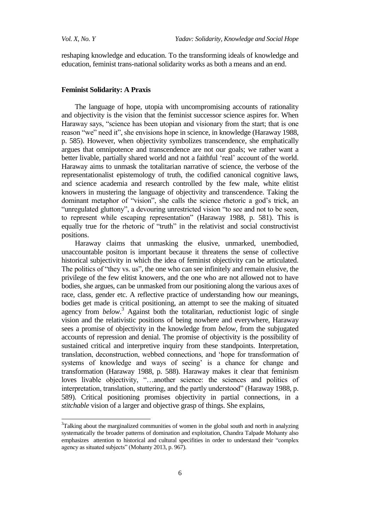$\ddot{\phantom{a}}$ 

reshaping knowledge and education. To the transforming ideals of knowledge and education, feminist trans-national solidarity works as both a means and an end.

#### **Feminist Solidarity: A Praxis**

The language of hope, utopia with uncompromising accounts of rationality and objectivity is the vision that the feminist successor science aspires for. When Haraway says, "science has been utopian and visionary from the start; that is one reason "we" need it", she envisions hope in science, in knowledge (Haraway 1988, p. 585). However, when objectivity symbolizes transcendence, she emphatically argues that omnipotence and transcendence are not our goals; we rather want a better livable, partially shared world and not a faithful 'real' account of the world. Haraway aims to unmask the totalitarian narrative of science, the verbose of the representationalist epistemology of truth, the codified canonical cognitive laws, and science academia and research controlled by the few male, white elitist knowers in mustering the language of objectivity and transcendence. Taking the dominant metaphor of "vision", she calls the science rhetoric a god's trick, an "unregulated gluttony", a devouring unrestricted vision "to see and not to be seen, to represent while escaping representation" (Haraway 1988, p. 581). This is equally true for the rhetoric of "truth" in the relativist and social constructivist positions.

Haraway claims that unmasking the elusive, unmarked, unembodied, unaccountable positon is important because it threatens the sense of collective historical subjectivity in which the idea of feminist objectivity can be articulated. The politics of "they vs. us", the one who can see infinitely and remain elusive, the privilege of the few elitist knowers, and the one who are not allowed not to have bodies, she argues, can be unmasked from our positioning along the various axes of race, class, gender etc. A reflective practice of understanding how our meanings, bodies get made is critical positioning, an attempt to see the making of situated agency from *below*.<sup>3</sup> Against both the totalitarian, reductionist logic of single vision and the relativistic positions of being nowhere and everywhere, Haraway sees a promise of objectivity in the knowledge from *below*, from the subjugated accounts of repression and denial. The promise of objectivity is the possibility of sustained critical and interpretive inquiry from these standpoints. Interpretation, translation, deconstruction, webbed connections, and 'hope for transformation of systems of knowledge and ways of seeing' is a chance for change and transformation (Haraway 1988, p. 588). Haraway makes it clear that feminism loves livable objectivity, "...another science: the sciences and politics of interpretation, translation, stuttering, and the partly understood" (Haraway 1988, p. 589). Critical positioning promises objectivity in partial connections, in a *stitchable* vision of a larger and objective grasp of things. She explains,

<sup>&</sup>lt;sup>3</sup>Talking about the marginalized communities of women in the global south and north in analyzing systematically the broader patterns of domination and exploitation, Chandra Talpade Mohanty also emphasizes attention to historical and cultural specifities in order to understand their "complex agency as situated subjects" (Mohanty 2013, p. 967).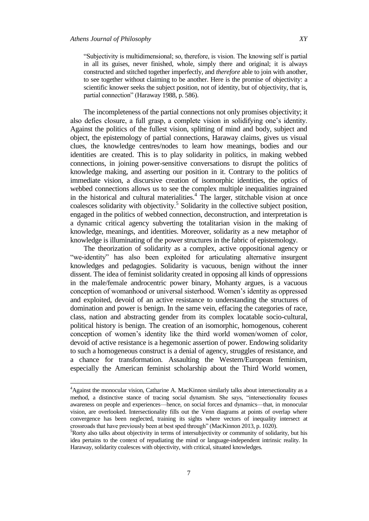$\overline{a}$ 

―Subjectivity is multidimensional; so, therefore, is vision. The knowing self is partial in all its guises, never finished, whole, simply there and original; it is always constructed and stitched together imperfectly, and *therefore* able to join with another, to see together without claiming to be another. Here is the promise of objectivity: a scientific knower seeks the subject position, not of identity, but of objectivity, that is, partial connection" (Haraway 1988, p. 586).

The incompleteness of the partial connections not only promises objectivity; it also defies closure, a full grasp, a complete vision in solidifying one's identity. Against the politics of the fullest vision, splitting of mind and body, subject and object, the epistemology of partial connections, Haraway claims, gives us visual clues, the knowledge centres/nodes to learn how meanings, bodies and our identities are created. This is to play solidarity in politics, in making webbed connections, in joining power-sensitive conversations to disrupt the politics of knowledge making, and asserting our position in it. Contrary to the politics of immediate vision, a discursive creation of isomorphic identities, the optics of webbed connections allows us to see the complex multiple inequalities ingrained in the historical and cultural materialities.<sup>4</sup> The larger, stitchable vision at once coalesces solidarity with objectivity.<sup>5</sup> Solidarity in the collective subject position, engaged in the politics of webbed connection, deconstruction, and interpretation is a dynamic critical agency subverting the totalitarian vision in the making of knowledge, meanings, and identities. Moreover, solidarity as a new metaphor of knowledge is illuminating of the power structures in the fabric of epistemology.

The theorization of solidarity as a complex, active oppositional agency or "we-identity" has also been exploited for articulating alternative insurgent knowledges and pedagogies. Solidarity is vacuous, benign without the inner dissent. The idea of feminist solidarity created in opposing all kinds of oppressions in the male/female androcentric power binary, Mohanty argues, is a vacuous conception of womanhood or universal sisterhood. Women's identity as oppressed and exploited, devoid of an active resistance to understanding the structures of domination and power is benign. In the same vein, effacing the categories of race, class, nation and abstracting gender from its complex locatable socio-cultural, political history is benign. The creation of an isomorphic, homogenous, coherent conception of women's identity like the third world women/women of color, devoid of active resistance is a hegemonic assertion of power. Endowing solidarity to such a homogeneous construct is a denial of agency, struggles of resistance, and a chance for transformation. Assaulting the Western/European feminism, especially the American feminist scholarship about the Third World women,

<sup>&</sup>lt;sup>4</sup>Against the monocular vision, Catharine A. MacKinnon similarly talks about intersectionality as a method, a distinctive stance of tracing social dynamism. She says, "intersectionality focuses awareness on people and experiences—hence, on social forces and dynamics—that, in monocular vision, are overlooked. Intersectionality fills out the Venn diagrams at points of overlap where convergence has been neglected, training its sights where vectors of inequality intersect at crossroads that have previously been at best sped through" (MacKinnon 2013, p. 1020).

 ${}^{5}$ Rorty also talks about objectivity in terms of intersubjectivity or community of solidarity, but his idea pertains to the context of repudiating the mind or language-independent intrinsic reality. In Haraway, solidarity coalesces with objectivity, with critical, situated knowledges.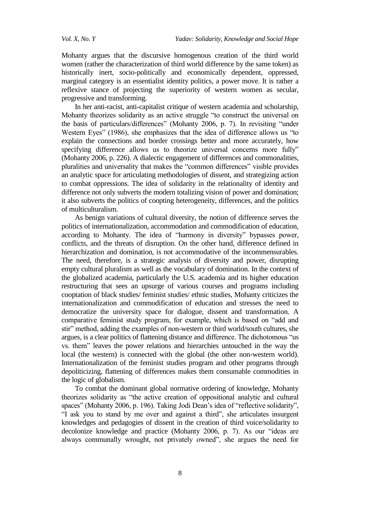Mohanty argues that the discursive homogenous creation of the third world women (rather the characterization of third world difference by the same token) as historically inert, socio-politically and economically dependent, oppressed, marginal category is an essentialist identity politics, a power move. It is rather a reflexive stance of projecting the superiority of western women as secular, progressive and transforming.

In her anti-racist, anti-capitalist critique of western academia and scholarship, Mohanty theorizes solidarity as an active struggle "to construct the universal on the basis of particulars/differences" (Mohanty 2006, p. 7). In revisiting "under Western Eyes" (1986), she emphasizes that the idea of difference allows us "to explain the connections and border crossings better and more accurately, how specifying difference allows us to theorize universal concerns more fully" (Mohanty 2006, p. 226). A dialectic engagement of differences and commonalities, pluralities and universality that makes the "common differences" visible provides an analytic space for articulating methodologies of dissent, and strategizing action to combat oppressions. The idea of solidarity in the relationality of identity and difference not only subverts the modern totalizing vision of power and domination; it also subverts the politics of coopting heterogeneity, differences, and the politics of multiculturalism.

As benign variations of cultural diversity, the notion of difference serves the politics of internationalization, accommodation and commodification of education, according to Mohanty. The idea of "harmony in diversity" bypasses power, conflicts, and the threats of disruption. On the other hand, difference defined in hierarchization and domination, is not accommodative of the incommensurables. The need, therefore, is a strategic analysis of diversity and power, disrupting empty cultural pluralism as well as the vocabulary of domination. In the context of the globalized academia, particularly the U.S. academia and its higher education restructuring that sees an upsurge of various courses and programs including cooptation of black studies/ feminist studies/ ethnic studies, Mohanty criticizes the internationalization and commodification of education and stresses the need to democratize the university space for dialogue, dissent and transformation. A comparative feminist study program, for example, which is based on "add and stir" method, adding the examples of non-western or third world/south cultures, she argues, is a clear politics of flattening distance and difference. The dichotomous "us vs. them" leaves the power relations and hierarchies untouched in the way the local (the western) is connected with the global (the other non-western world). Internationalization of the feminist studies program and other programs through depoliticizing, flattening of differences makes them consumable commodities in the logic of globalism.

To combat the dominant global normative ordering of knowledge, Mohanty theorizes solidarity as "the active creation of oppositional analytic and cultural spaces" (Mohanty 2006, p. 196). Taking Jodi Dean's idea of "reflective solidarity", "I ask you to stand by me over and against a third", she articulates insurgent knowledges and pedagogies of dissent in the creation of third voice/solidarity to decolonize knowledge and practice (Mohanty 2006, p. 7). As our "ideas are always communally wrought, not privately owned", she argues the need for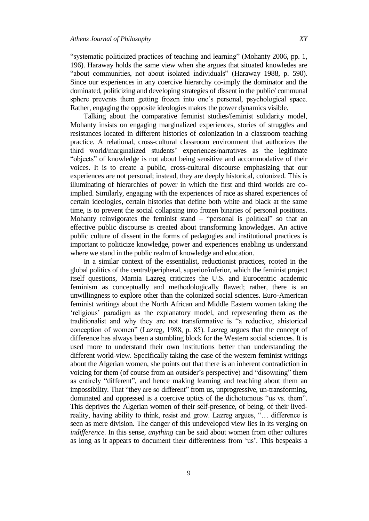"systematic politicized practices of teaching and learning" (Mohanty 2006, pp. 1, 196). Haraway holds the same view when she argues that situated knowledes are "about communities, not about isolated individuals" (Haraway 1988, p. 590). Since our experiences in any coercive hierarchy co-imply the dominator and the dominated, politicizing and developing strategies of dissent in the public/ communal sphere prevents them getting frozen into one's personal, psychological space. Rather, engaging the opposite ideologies makes the power dynamics visible.

Talking about the comparative feminist studies/feminist solidarity model, Mohanty insists on engaging marginalized experiences, stories of struggles and resistances located in different histories of colonization in a classroom teaching practice. A relational, cross-cultural classroom environment that authorizes the third world/marginalized students' experiences/narratives as the legitimate "objects" of knowledge is not about being sensitive and accommodative of their voices. It is to create a public, cross-cultural discourse emphasizing that our experiences are not personal; instead, they are deeply historical, colonized. This is illuminating of hierarchies of power in which the first and third worlds are coimplied. Similarly, engaging with the experiences of race as shared experiences of certain ideologies, certain histories that define both white and black at the same time, is to prevent the social collapsing into frozen binaries of personal positions. Mohanty reinvigorates the feminist stand – "personal is political" so that an effective public discourse is created about transforming knowledges. An active public culture of dissent in the forms of pedagogies and institutional practices is important to politicize knowledge, power and experiences enabling us understand where we stand in the public realm of knowledge and education.

In a similar context of the essentialist, reductionist practices, rooted in the global politics of the central/peripheral, superior/inferior, which the feminist project itself questions, Marnia Lazreg criticizes the U.S. and Eurocentric academic feminism as conceptually and methodologically flawed; rather, there is an unwillingness to explore other than the colonized social sciences. Euro-American feminist writings about the North African and Middle Eastern women taking the ‗religious' paradigm as the explanatory model, and representing them as the traditionalist and why they are not transformative is "a reductive, ahistorical conception of women" (Lazreg, 1988, p. 85). Lazreg argues that the concept of difference has always been a stumbling block for the Western social sciences. It is used more to understand their own institutions better than understanding the different world-view. Specifically taking the case of the western feminist writings about the Algerian women, she points out that there is an inherent contradiction in voicing for them (of course from an outsider's perspective) and "disowning" them as entirely "different", and hence making learning and teaching about them an impossibility. That "they are so different" from us, unprogressive, un-transforming, dominated and oppressed is a coercive optics of the dichotomous "us vs. them". This deprives the Algerian women of their self-presence, of being, of their livedreality, having ability to think, resist and grow. Lazreg argues, "... difference is seen as mere division. The danger of this undeveloped view lies in its verging on *indifference*. In this sense, *anything* can be said about women from other cultures as long as it appears to document their differentness from 'us'. This bespeaks a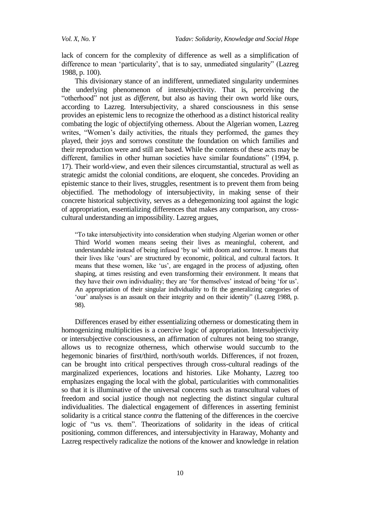lack of concern for the complexity of difference as well as a simplification of difference to mean 'particularity', that is to say, unmediated singularity'' (Lazreg 1988, p. 100).

This divisionary stance of an indifferent, unmediated singularity undermines the underlying phenomenon of intersubjectivity. That is, perceiving the "otherhood" not just as *different*, but also as having their own world like ours, according to Lazreg. Intersubjectivity, a shared consciousness in this sense provides an epistemic lens to recognize the otherhood as a distinct historical reality combating the logic of objectifying otherness. About the Algerian women, Lazreg writes, "Women's daily activities, the rituals they performed, the games they played, their joys and sorrows constitute the foundation on which families and their reproduction were and still are based. While the contents of these acts may be different, families in other human societies have similar foundations" (1994, p. 17). Their world-view, and even their silences circumstantial, structural as well as strategic amidst the colonial conditions, are eloquent, she concedes. Providing an epistemic stance to their lives, struggles, resentment is to prevent them from being objectified. The methodology of intersubjectivity, in making sense of their concrete historical subjectivity, serves as a dehegemonizing tool against the logic of appropriation, essentializing differences that makes any comparison, any crosscultural understanding an impossibility. Lazreg argues,

―To take intersubjectivity into consideration when studying Algerian women or other Third World women means seeing their lives as meaningful, coherent, and understandable instead of being infused 'by us' with doom and sorrow. It means that their lives like 'ours' are structured by economic, political, and cultural factors. It means that these women, like 'us', are engaged in the process of adjusting, often shaping, at times resisting and even transforming their environment. It means that they have their own individuality; they are 'for themselves' instead of being 'for us'. An appropriation of their singular individuality to fit the generalizing categories of ‗our' analyses is an assault on their integrity and on their identity‖ (Lazreg 1988, p. 98).

Differences erased by either essentializing otherness or domesticating them in homogenizing multiplicities is a coercive logic of appropriation. Intersubjectivity or intersubjective consciousness, an affirmation of cultures not being too strange, allows us to recognize otherness, which otherwise would succumb to the hegemonic binaries of first/third, north/south worlds. Differences, if not frozen, can be brought into critical perspectives through cross-cultural readings of the marginalized experiences, locations and histories. Like Mohanty, Lazreg too emphasizes engaging the local with the global, particularities with commonalities so that it is illuminative of the universal concerns such as transcultural values of freedom and social justice though not neglecting the distinct singular cultural individualities. The dialectical engagement of differences in asserting feminist solidarity is a critical stance *contra* the flattening of the differences in the coercive logic of "us vs. them". Theorizations of solidarity in the ideas of critical positioning, common differences, and intersubjectivity in Haraway, Mohanty and Lazreg respectively radicalize the notions of the knower and knowledge in relation